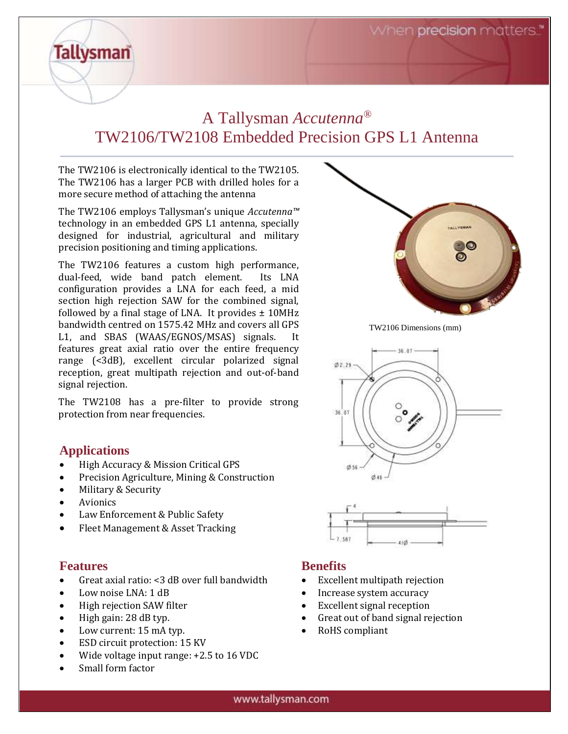## A Tallysman *Accutenna®* TW2106/TW2108 Embedded Precision GPS L1 Antenna

The TW2106 is electronically identical to the TW2105. The TW2106 has a larger PCB with drilled holes for a more secure method of attaching the antenna

The TW2106 employs Tallysman's unique *Accutenna™* technology in an embedded GPS L1 antenna, specially designed for industrial, agricultural and military precision positioning and timing applications.

The TW2106 features a custom high performance, dual-feed, wide band patch element. Its LNA configuration provides a LNA for each feed, a mid section high rejection SAW for the combined signal, followed by a final stage of LNA. It provides  $\pm$  10MHz bandwidth centred on 1575.42 MHz and covers all GPS L1, and SBAS (WAAS/EGNOS/MSAS) signals. It features great axial ratio over the entire frequency range (<3dB), excellent circular polarized signal reception, great multipath rejection and out-of-band signal rejection.

The TW2108 has a pre-filter to provide strong protection from near frequencies.

## **Applications**

**Tallysman** 

- High Accuracy & Mission Critical GPS
- Precision Agriculture, Mining & Construction
- Military & Security
- **Avionics**
- Law Enforcement & Public Safety
- Fleet Management & Asset Tracking

## **Features**

- Great axial ratio: <3 dB over full bandwidth
- Low noise LNA: 1 dB
- High rejection SAW filter
- High gain: 28 dB typ.
- Low current: 15 mA typ.
- ESD circuit protection: 15 KV
- Wide voltage input range: +2.5 to 16 VDC
- Small form factor



TW2106 Dimensions (mm)





## **Benefits**

- Excellent multipath rejection
- Increase system accuracy
- Excellent signal reception
- Great out of band signal rejection
- RoHS compliant